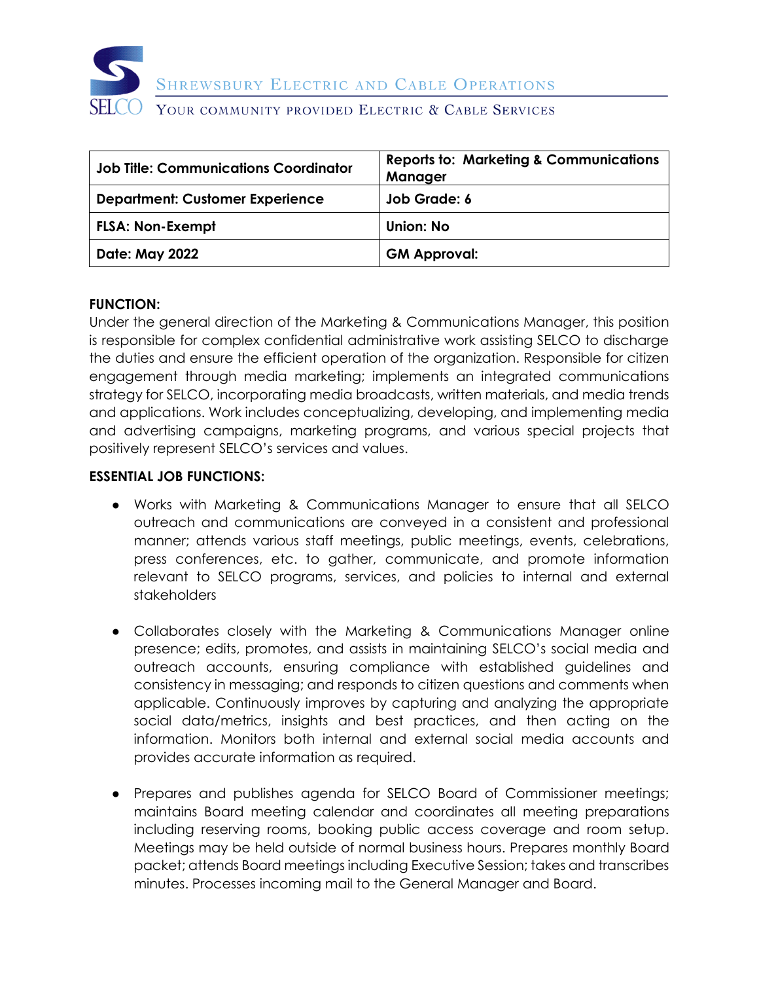

SHREWSBURY ELECTRIC AND CABLE OPERATIONS

#### YOUR COMMUNITY PROVIDED ELECTRIC & CABLE SERVICES

| <b>Job Title: Communications Coordinator</b> | <b>Reports to: Marketing &amp; Communications</b><br>Manager |
|----------------------------------------------|--------------------------------------------------------------|
| <b>Department: Customer Experience</b>       | Job Grade: 6                                                 |
| <b>FLSA: Non-Exempt</b>                      | Union: No                                                    |
| <b>Date: May 2022</b>                        | <b>GM Approval:</b>                                          |

#### **FUNCTION:**

Under the general direction of the Marketing & Communications Manager, this position is responsible for complex confidential administrative work assisting SELCO to discharge the duties and ensure the efficient operation of the organization. Responsible for citizen engagement through media marketing; implements an integrated communications strategy for SELCO, incorporating media broadcasts, written materials, and media trends and applications. Work includes conceptualizing, developing, and implementing media and advertising campaigns, marketing programs, and various special projects that positively represent SELCO's services and values.

#### **ESSENTIAL JOB FUNCTIONS:**

- Works with Marketing & Communications Manager to ensure that all SELCO outreach and communications are conveyed in a consistent and professional manner; attends various staff meetings, public meetings, events, celebrations, press conferences, etc. to gather, communicate, and promote information relevant to SELCO programs, services, and policies to internal and external stakeholders
- Collaborates closely with the Marketing & Communications Manager online presence; edits, promotes, and assists in maintaining SELCO's social media and outreach accounts, ensuring compliance with established guidelines and consistency in messaging; and responds to citizen questions and comments when applicable. Continuously improves by capturing and analyzing the appropriate social data/metrics, insights and best practices, and then acting on the information. Monitors both internal and external social media accounts and provides accurate information as required.
- Prepares and publishes agenda for SELCO Board of Commissioner meetings; maintains Board meeting calendar and coordinates all meeting preparations including reserving rooms, booking public access coverage and room setup. Meetings may be held outside of normal business hours. Prepares monthly Board packet; attends Board meetings including Executive Session; takes and transcribes minutes. Processes incoming mail to the General Manager and Board.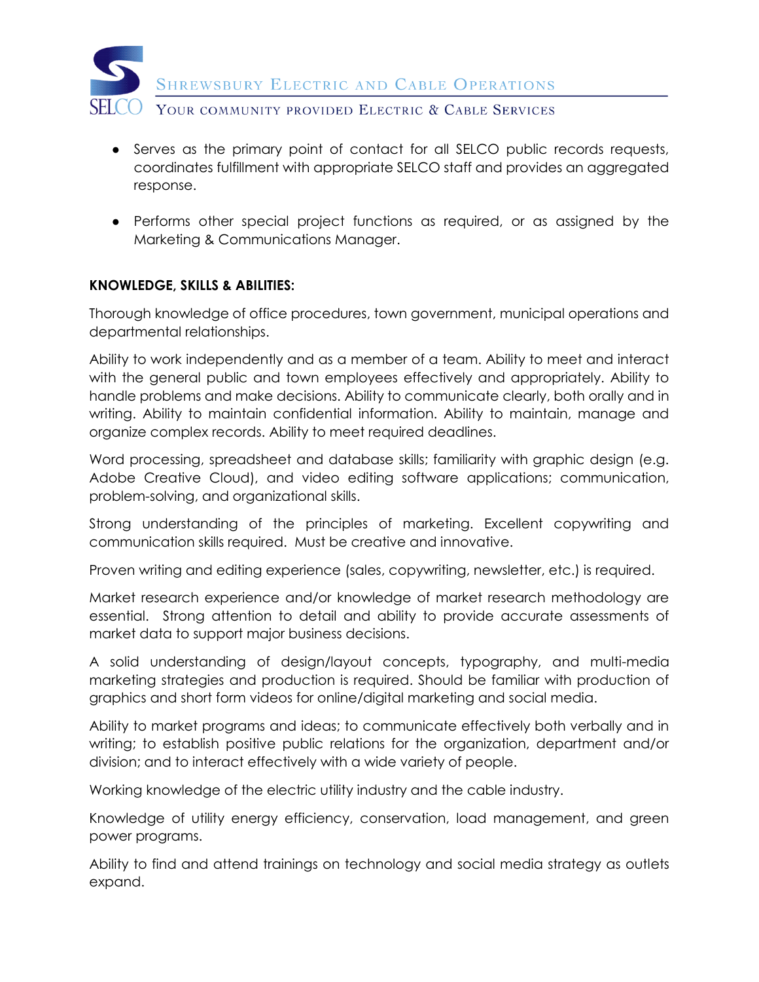

- Serves as the primary point of contact for all SELCO public records requests, coordinates fulfillment with appropriate SELCO staff and provides an aggregated response.
- Performs other special project functions as required, or as assigned by the Marketing & Communications Manager.

## **KNOWLEDGE, SKILLS & ABILITIES:**

Thorough knowledge of office procedures, town government, municipal operations and departmental relationships.

Ability to work independently and as a member of a team. Ability to meet and interact with the general public and town employees effectively and appropriately. Ability to handle problems and make decisions. Ability to communicate clearly, both orally and in writing. Ability to maintain confidential information. Ability to maintain, manage and organize complex records. Ability to meet required deadlines.

Word processing, spreadsheet and database skills; familiarity with graphic design (e.g. Adobe Creative Cloud), and video editing software applications; communication, problem-solving, and organizational skills.

Strong understanding of the principles of marketing. Excellent copywriting and communication skills required. Must be creative and innovative.

Proven writing and editing experience (sales, copywriting, newsletter, etc.) is required.

Market research experience and/or knowledge of market research methodology are essential. Strong attention to detail and ability to provide accurate assessments of market data to support major business decisions.

A solid understanding of design/layout concepts, typography, and multi-media marketing strategies and production is required. Should be familiar with production of graphics and short form videos for online/digital marketing and social media.

Ability to market programs and ideas; to communicate effectively both verbally and in writing; to establish positive public relations for the organization, department and/or division; and to interact effectively with a wide variety of people.

Working knowledge of the electric utility industry and the cable industry.

Knowledge of utility energy efficiency, conservation, load management, and green power programs.

Ability to find and attend trainings on technology and social media strategy as outlets expand.